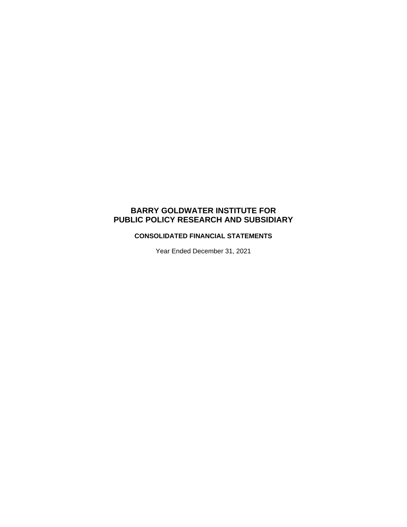# **CONSOLIDATED FINANCIAL STATEMENTS**

Year Ended December 31, 2021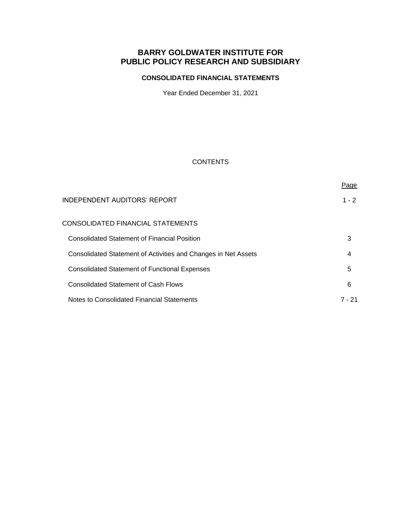### **CONSOLIDATED FINANCIAL STATEMENTS**

Year Ended December 31, 2021

# **CONTENTS**

|                                                                | Page    |
|----------------------------------------------------------------|---------|
| INDEPENDENT AUDITORS' REPORT                                   | $1 - 2$ |
| CONSOLIDATED FINANCIAL STATEMENTS                              |         |
| <b>Consolidated Statement of Financial Position</b>            | 3       |
| Consolidated Statement of Activities and Changes in Net Assets | 4       |
| <b>Consolidated Statement of Functional Expenses</b>           | 5       |
| <b>Consolidated Statement of Cash Flows</b>                    | 6       |
| Notes to Consolidated Financial Statements                     | 7 - 21  |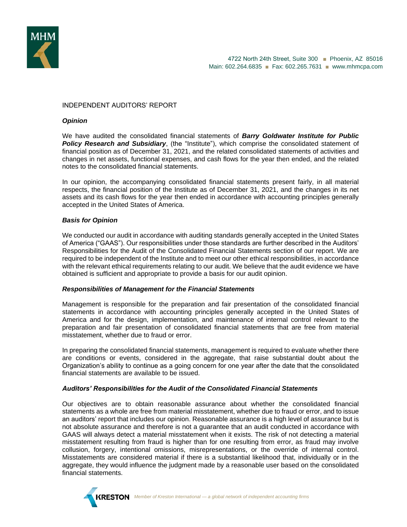

#### INDEPENDENT AUDITORS' REPORT

#### *Opinion*

We have audited the consolidated financial statements of *Barry Goldwater Institute for Public*  **Policy Research and Subsidiary**, (the "Institute"), which comprise the consolidated statement of financial position as of December 31, 2021, and the related consolidated statements of activities and changes in net assets, functional expenses, and cash flows for the year then ended, and the related notes to the consolidated financial statements.

In our opinion, the accompanying consolidated financial statements present fairly, in all material respects, the financial position of the Institute as of December 31, 2021, and the changes in its net assets and its cash flows for the year then ended in accordance with accounting principles generally accepted in the United States of America.

### *Basis for Opinion*

We conducted our audit in accordance with auditing standards generally accepted in the United States of America ("GAAS"). Our responsibilities under those standards are further described in the Auditors' Responsibilities for the Audit of the Consolidated Financial Statements section of our report. We are required to be independent of the Institute and to meet our other ethical responsibilities, in accordance with the relevant ethical requirements relating to our audit. We believe that the audit evidence we have obtained is sufficient and appropriate to provide a basis for our audit opinion.

#### *Responsibilities of Management for the Financial Statements*

Management is responsible for the preparation and fair presentation of the consolidated financial statements in accordance with accounting principles generally accepted in the United States of America and for the design, implementation, and maintenance of internal control relevant to the preparation and fair presentation of consolidated financial statements that are free from material misstatement, whether due to fraud or error.

In preparing the consolidated financial statements, management is required to evaluate whether there are conditions or events, considered in the aggregate, that raise substantial doubt about the Organization's ability to continue as a going concern for one year after the date that the consolidated financial statements are available to be issued.

### *Auditors' Responsibilities for the Audit of the Consolidated Financial Statements*

Our objectives are to obtain reasonable assurance about whether the consolidated financial statements as a whole are free from material misstatement, whether due to fraud or error, and to issue an auditors' report that includes our opinion. Reasonable assurance is a high level of assurance but is not absolute assurance and therefore is not a guarantee that an audit conducted in accordance with GAAS will always detect a material misstatement when it exists. The risk of not detecting a material misstatement resulting from fraud is higher than for one resulting from error, as fraud may involve collusion, forgery, intentional omissions, misrepresentations, or the override of internal control. Misstatements are considered material if there is a substantial likelihood that, individually or in the aggregate, they would influence the judgment made by a reasonable user based on the consolidated financial statements.

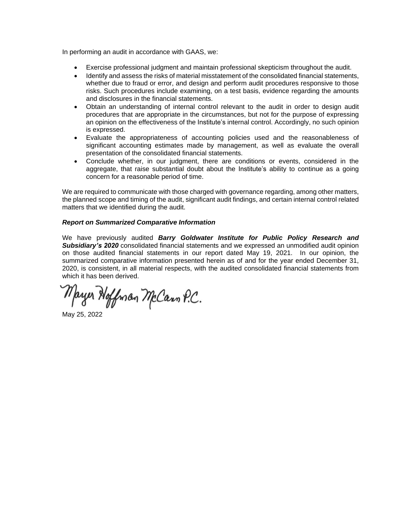In performing an audit in accordance with GAAS, we:

- Exercise professional judgment and maintain professional skepticism throughout the audit.
- Identify and assess the risks of material misstatement of the consolidated financial statements, whether due to fraud or error, and design and perform audit procedures responsive to those risks. Such procedures include examining, on a test basis, evidence regarding the amounts and disclosures in the financial statements.
- Obtain an understanding of internal control relevant to the audit in order to design audit procedures that are appropriate in the circumstances, but not for the purpose of expressing an opinion on the effectiveness of the Institute's internal control. Accordingly, no such opinion is expressed.
- Evaluate the appropriateness of accounting policies used and the reasonableness of significant accounting estimates made by management, as well as evaluate the overall presentation of the consolidated financial statements.
- Conclude whether, in our judgment, there are conditions or events, considered in the aggregate, that raise substantial doubt about the Institute's ability to continue as a going concern for a reasonable period of time.

We are required to communicate with those charged with governance regarding, among other matters, the planned scope and timing of the audit, significant audit findings, and certain internal control related matters that we identified during the audit.

#### *Report on Summarized Comparative Information*

We have previously audited *Barry Goldwater Institute for Public Policy Research and Subsidiary's 2020* consolidated financial statements and we expressed an unmodified audit opinion on those audited financial statements in our report dated May 19, 2021. In our opinion, the summarized comparative information presented herein as of and for the year ended December 31, 2020, is consistent, in all material respects, with the audited consolidated financial statements from which it has been derived.

Mayer Hoffman McCann P.C.

May 25, 2022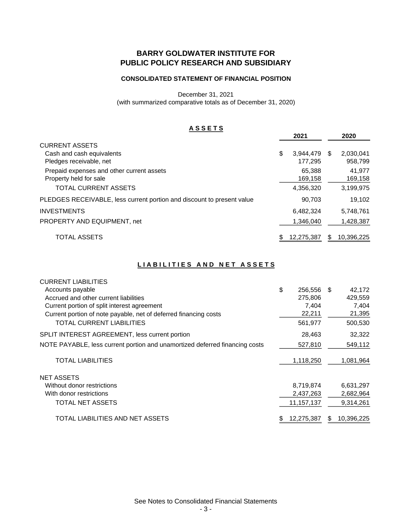#### **CONSOLIDATED STATEMENT OF FINANCIAL POSITION**

December 31, 2021

(with summarized comparative totals as of December 31, 2020)

## **A S S E T S**

|                                                                        | 2021             |     | 2020       |
|------------------------------------------------------------------------|------------------|-----|------------|
| <b>CURRENT ASSETS</b>                                                  |                  |     |            |
| Cash and cash equivalents                                              | \$<br>3.944.479  | \$. | 2,030,041  |
| Pledges receivable, net                                                | 177,295          |     | 958,799    |
| Prepaid expenses and other current assets                              | 65,388           |     | 41,977     |
| Property held for sale                                                 | 169,158          |     | 169,158    |
| <b>TOTAL CURRENT ASSETS</b>                                            | 4,356,320        |     | 3,199,975  |
| PLEDGES RECEIVABLE, less current portion and discount to present value | 90.703           |     | 19,102     |
| <b>INVESTMENTS</b>                                                     | 6,482,324        |     | 5,748,761  |
| PROPERTY AND EQUIPMENT, net                                            | 1,346,040        |     | 1,428,387  |
| <b>TOTAL ASSETS</b>                                                    | \$<br>12,275,387 | S.  | 10,396,225 |

### **LIABILITIES AND NET ASSETS**

| <b>CURRENT LIABILITIES</b>                                                  |                  |     |            |
|-----------------------------------------------------------------------------|------------------|-----|------------|
| Accounts payable                                                            | \$<br>256,556    | \$. | 42,172     |
| Accrued and other current liabilities                                       | 275,806          |     | 429,559    |
| Current portion of split interest agreement                                 | 7,404            |     | 7,404      |
| Current portion of note payable, net of deferred financing costs            | 22,211           |     | 21,395     |
| TOTAL CURRENT LIABILITIES                                                   | 561,977          |     | 500,530    |
| SPLIT INTEREST AGREEMENT, less current portion                              | 28,463           |     | 32,322     |
| NOTE PAYABLE, less current portion and unamortized deferred financing costs | 527,810          |     | 549,112    |
| TOTAL LIABILITIES                                                           | 1,118,250        |     | 1,081,964  |
| <b>NET ASSETS</b>                                                           |                  |     |            |
| Without donor restrictions                                                  | 8,719,874        |     | 6,631,297  |
| With donor restrictions                                                     | 2,437,263        |     | 2,682,964  |
| TOTAL NET ASSETS                                                            | 11,157,137       |     | 9,314,261  |
| TOTAL LIABILITIES AND NET ASSETS                                            | \$<br>12,275,387 | S.  | 10,396,225 |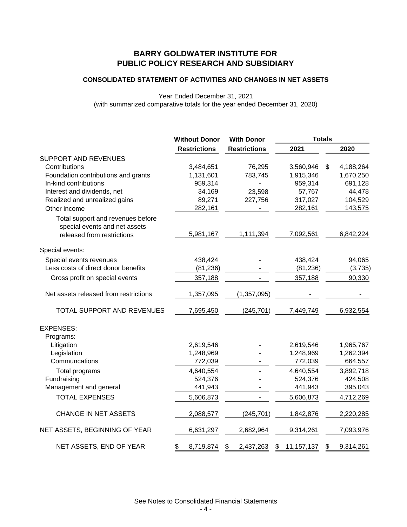#### **CONSOLIDATED STATEMENT OF ACTIVITIES AND CHANGES IN NET ASSETS**

(with summarized comparative totals for the year ended December 31, 2020) Year Ended December 31, 2021

|                                       | <b>Without Donor</b> | <b>With Donor</b>   |                    | <b>Totals</b>   |
|---------------------------------------|----------------------|---------------------|--------------------|-----------------|
|                                       | <b>Restrictions</b>  | <b>Restrictions</b> | 2021               | 2020            |
| SUPPORT AND REVENUES                  |                      |                     |                    |                 |
| Contributions                         | 3,484,651            | 76,295              | 3,560,946          | 4,188,264<br>\$ |
| Foundation contributions and grants   | 1,131,601            | 783,745             | 1,915,346          | 1,670,250       |
| In-kind contributions                 | 959,314              |                     | 959,314            | 691,128         |
| Interest and dividends, net           | 34,169               | 23,598              | 57,767             | 44,478          |
| Realized and unrealized gains         | 89,271               | 227,756             | 317,027            | 104,529         |
| Other income                          | 282,161              |                     | 282,161            | 143,575         |
| Total support and revenues before     |                      |                     |                    |                 |
| special events and net assets         |                      |                     |                    |                 |
| released from restrictions            | 5,981,167            | 1,111,394           | 7,092,561          | 6,842,224       |
| Special events:                       |                      |                     |                    |                 |
| Special events revenues               | 438,424              |                     | 438,424            | 94,065          |
| Less costs of direct donor benefits   | (81, 236)            |                     | (81, 236)          | (3,735)         |
| Gross profit on special events        | 357,188              |                     | 357,188            | 90,330          |
| Net assets released from restrictions | 1,357,095            | (1, 357, 095)       |                    |                 |
| TOTAL SUPPORT AND REVENUES            | 7,695,450            | (245, 701)          | 7,449,749          | 6,932,554       |
| <b>EXPENSES:</b>                      |                      |                     |                    |                 |
| Programs:                             |                      |                     |                    |                 |
| Litigation                            | 2,619,546            |                     | 2,619,546          | 1,965,767       |
| Legislation                           | 1,248,969            |                     | 1,248,969          | 1,262,394       |
| Communcations                         | 772,039              |                     | 772,039            | 664,557         |
| Total programs                        | 4,640,554            |                     | 4,640,554          | 3,892,718       |
| Fundraising                           | 524,376              |                     | 524,376            | 424,508         |
| Management and general                | 441,943              |                     | 441,943            | 395,043         |
| <b>TOTAL EXPENSES</b>                 | 5,606,873            |                     | 5,606,873          | 4,712,269       |
| CHANGE IN NET ASSETS                  | 2,088,577            | (245, 701)          | 1,842,876          | 2,220,285       |
| NET ASSETS, BEGINNING OF YEAR         | 6,631,297            | 2,682,964           | 9,314,261          | 7,093,976       |
| NET ASSETS, END OF YEAR               | \$<br>8,719,874      | \$<br>2,437,263     | 11, 157, 137<br>\$ | 9,314,261<br>\$ |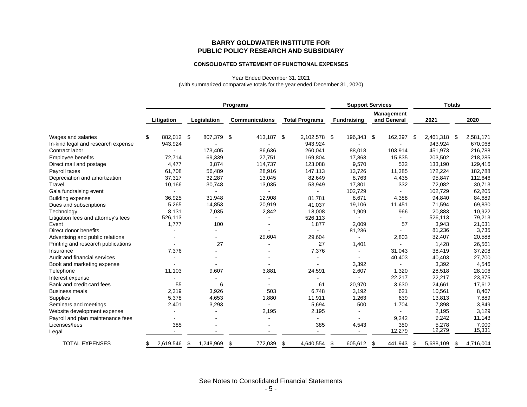#### **CONSOLIDATED STATEMENT OF FUNCTIONAL EXPENSES**

(with summarized comparative totals for the year ended December 31, 2020) Year Ended December 31, 2021

|                                     | Programs         |    |             |                       | <b>Support Services</b> |      |                    |      | <b>Totals</b>                    |     |           |      |           |
|-------------------------------------|------------------|----|-------------|-----------------------|-------------------------|------|--------------------|------|----------------------------------|-----|-----------|------|-----------|
|                                     | Litigation       |    | Legislation | <b>Communications</b> | <b>Total Programs</b>   |      | <b>Fundraising</b> |      | <b>Management</b><br>and General |     | 2021      |      | 2020      |
| Wages and salaries                  | \$<br>882,012 \$ |    | 807,379     | \$<br>413,187         | \$<br>2,102,578         | - \$ | 196,343            | - \$ | 162,397                          | -\$ | 2,461,318 | - \$ | 2,581,171 |
| In-kind legal and research expense  | 943,924          |    |             |                       | 943,924                 |      |                    |      |                                  |     | 943,924   |      | 670,068   |
| Contract labor                      |                  |    | 173,405     | 86,636                | 260,041                 |      | 88,018             |      | 103,914                          |     | 451,973   |      | 216,788   |
| <b>Employee benefits</b>            | 72,714           |    | 69,339      | 27,751                | 169,804                 |      | 17,863             |      | 15,835                           |     | 203,502   |      | 218,285   |
| Direct mail and postage             | 4,477            |    | 3,874       | 114,737               | 123,088                 |      | 9,570              |      | 532                              |     | 133,190   |      | 129,416   |
| Payroll taxes                       | 61,708           |    | 56,489      | 28,916                | 147,113                 |      | 13,726             |      | 11,385                           |     | 172,224   |      | 182,788   |
| Depreciation and amortization       | 37,317           |    | 32,287      | 13,045                | 82,649                  |      | 8,763              |      | 4,435                            |     | 95,847    |      | 112,646   |
| Travel                              | 10,166           |    | 30,748      | 13,035                | 53,949                  |      | 17,801             |      | 332                              |     | 72,082    |      | 30,713    |
| Gala fundraising event              |                  |    |             |                       |                         |      | 102,729            |      |                                  |     | 102,729   |      | 62,205    |
| <b>Building expense</b>             | 36,925           |    | 31,948      | 12,908                | 81,781                  |      | 8,671              |      | 4,388                            |     | 94,840    |      | 84,689    |
| Dues and subscriptions              | 5,265            |    | 14,853      | 20,919                | 41,037                  |      | 19,106             |      | 11,451                           |     | 71,594    |      | 69,830    |
| Technology                          | 8,131            |    | 7,035       | 2,842                 | 18,008                  |      | 1,909              |      | 966                              |     | 20,883    |      | 10,922    |
| Litigation fees and attorney's fees | 526,113          |    |             |                       | 526,113                 |      |                    |      |                                  |     | 526,113   |      | 79,213    |
| Event                               | 1,777            |    | 100         |                       | 1,877                   |      | 2,009              |      | 57                               |     | 3,943     |      | 21,031    |
| Direct donor benefits               |                  |    |             |                       |                         |      | 81,236             |      |                                  |     | 81,236    |      | 3,735     |
| Advertising and public relations    |                  |    |             | 29,604                | 29,604                  |      |                    |      | 2,803                            |     | 32,407    |      | 20,588    |
| Printing and research publications  |                  |    | 27          |                       | 27                      |      | 1,401              |      |                                  |     | 1,428     |      | 26,561    |
| Insurance                           | 7,376            |    |             |                       | 7,376                   |      |                    |      | 31,043                           |     | 38,419    |      | 37,208    |
| Audit and financial services        |                  |    |             |                       |                         |      |                    |      | 40,403                           |     | 40,403    |      | 27,700    |
| Book and marketing expense          |                  |    |             |                       |                         |      | 3,392              |      |                                  |     | 3,392     |      | 4,546     |
| Telephone                           | 11,103           |    | 9,607       | 3,881                 | 24,591                  |      | 2,607              |      | 1,320                            |     | 28,518    |      | 28,106    |
| Interest expense                    |                  |    |             |                       |                         |      |                    |      | 22,217                           |     | 22,217    |      | 23,375    |
| Bank and credit card fees           | 55               |    | 6           |                       | 61                      |      | 20,970             |      | 3,630                            |     | 24,661    |      | 17,612    |
| <b>Business meals</b>               | 2,319            |    | 3,926       | 503                   | 6,748                   |      | 3,192              |      | 621                              |     | 10,561    |      | 8,467     |
| Supplies                            | 5,378            |    | 4,653       | 1,880                 | 11,911                  |      | 1,263              |      | 639                              |     | 13,813    |      | 7,889     |
| Seminars and meetings               | 2,401            |    | 3,293       |                       | 5,694                   |      | 500                |      | 1,704                            |     | 7,898     |      | 3,849     |
| Website development expense         |                  |    |             | 2,195                 | 2,195                   |      |                    |      |                                  |     | 2,195     |      | 3,129     |
| Payroll and plan maintenance fees   |                  |    |             |                       |                         |      |                    |      | 9,242                            |     | 9,242     |      | 11,143    |
| Licenses/fees                       | 385              |    |             |                       | 385                     |      | 4,543              |      | 350                              |     | 5,278     |      | 7,000     |
| Legal                               |                  |    |             |                       | $\sim$                  |      |                    |      | 12,279                           |     | 12,279    |      | 15,331    |
| <b>TOTAL EXPENSES</b>               | \$<br>2,619,546  | \$ | 1,248,969   | \$<br>772,039         | \$<br>4,640,554         | S    | 605,612            | \$   | 441,943                          |     | 5,688,109 | S    | 4,716,004 |

See Notes to Consolidated Financial Statements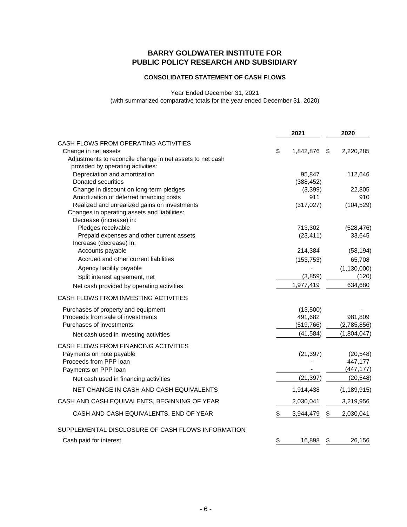### **CONSOLIDATED STATEMENT OF CASH FLOWS**

Year Ended December 31, 2021

(with summarized comparative totals for the year ended December 31, 2020)

|                                                                    |               | 2021       | 2020            |
|--------------------------------------------------------------------|---------------|------------|-----------------|
| CASH FLOWS FROM OPERATING ACTIVITIES                               |               |            |                 |
| Change in net assets                                               | \$            | 1,842,876  | \$<br>2,220,285 |
| Adjustments to reconcile change in net assets to net cash          |               |            |                 |
| provided by operating activities:<br>Depreciation and amortization |               | 95,847     | 112,646         |
| Donated securities                                                 |               | (388, 452) |                 |
| Change in discount on long-term pledges                            |               | (3, 399)   | 22,805          |
| Amortization of deferred financing costs                           |               | 911        | 910             |
| Realized and unrealized gains on investments                       |               | (317, 027) | (104, 529)      |
| Changes in operating assets and liabilities:                       |               |            |                 |
| Decrease (increase) in:                                            |               |            |                 |
| Pledges receivable                                                 |               | 713,302    | (528, 476)      |
| Prepaid expenses and other current assets                          |               | (23, 411)  | 33,645          |
| Increase (decrease) in:                                            |               |            |                 |
| Accounts payable                                                   |               | 214,384    | (58, 194)       |
| Accrued and other current liabilities                              |               | (153, 753) | 65,708          |
| Agency liability payable                                           |               |            | (1, 130, 000)   |
| Split interest agreement, net                                      |               | (3,859)    | (120)           |
| Net cash provided by operating activities                          |               | 1,977,419  | 634,680         |
| CASH FLOWS FROM INVESTING ACTIVITIES                               |               |            |                 |
| Purchases of property and equipment                                |               | (13,500)   |                 |
| Proceeds from sale of investments                                  |               | 491,682    | 981,809         |
| Purchases of investments                                           |               | (519, 766) | (2,785,856)     |
| Net cash used in investing activities                              |               | (41, 584)  | (1,804,047)     |
| CASH FLOWS FROM FINANCING ACTIVITIES                               |               |            |                 |
| Payments on note payable                                           |               | (21, 397)  | (20, 548)       |
| Proceeds from PPP loan                                             |               |            | 447,177         |
| Payments on PPP loan                                               |               |            | (447, 177)      |
| Net cash used in financing activities                              |               | (21, 397)  | (20, 548)       |
| NET CHANGE IN CASH AND CASH EQUIVALENTS                            |               | 1,914,438  | (1, 189, 915)   |
| CASH AND CASH EQUIVALENTS, BEGINNING OF YEAR                       |               | 2,030,041  | 3,219,956       |
| CASH AND CASH EQUIVALENTS, END OF YEAR                             | \$            | 3,944,479  | \$<br>2,030,041 |
| SUPPLEMENTAL DISCLOSURE OF CASH FLOWS INFORMATION                  |               |            |                 |
| Cash paid for interest                                             | $\frac{1}{2}$ | 16,898     | \$<br>26,156    |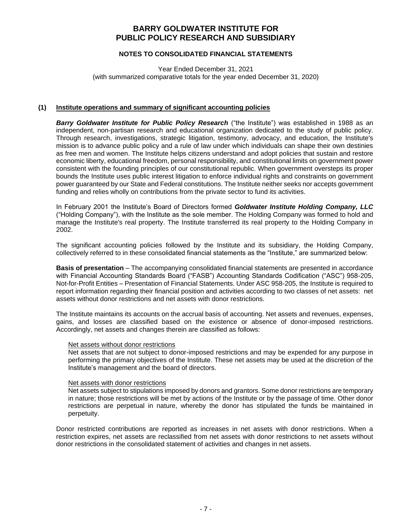#### **NOTES TO CONSOLIDATED FINANCIAL STATEMENTS**

Year Ended December 31, 2021 (with summarized comparative totals for the year ended December 31, 2020)

#### **(1) Institute operations and summary of significant accounting policies**

*Barry Goldwater Institute for Public Policy Research* ("the Institute") was established in 1988 as an independent, non-partisan research and educational organization dedicated to the study of public policy. Through research, investigations, strategic litigation, testimony, advocacy, and education, the Institute's mission is to advance public policy and a rule of law under which individuals can shape their own destinies as free men and women. The Institute helps citizens understand and adopt policies that sustain and restore economic liberty, educational freedom, personal responsibility, and constitutional limits on government power consistent with the founding principles of our constitutional republic. When government oversteps its proper bounds the Institute uses public interest litigation to enforce individual rights and constraints on government power guaranteed by our State and Federal constitutions. The Institute neither seeks nor accepts government funding and relies wholly on contributions from the private sector to fund its activities.

In February 2001 the Institute's Board of Directors formed *Goldwater Institute Holding Company, LLC* ("Holding Company"), with the Institute as the sole member. The Holding Company was formed to hold and manage the Institute's real property. The Institute transferred its real property to the Holding Company in 2002.

The significant accounting policies followed by the Institute and its subsidiary, the Holding Company, collectively referred to in these consolidated financial statements as the "Institute," are summarized below:

**Basis of presentation** – The accompanying consolidated financial statements are presented in accordance with Financial Accounting Standards Board ("FASB") Accounting Standards Codification ("ASC") 958-205, Not-for-Profit Entities – Presentation of Financial Statements. Under ASC 958-205, the Institute is required to report information regarding their financial position and activities according to two classes of net assets: net assets without donor restrictions and net assets with donor restrictions.

The Institute maintains its accounts on the accrual basis of accounting. Net assets and revenues, expenses, gains, and losses are classified based on the existence or absence of donor-imposed restrictions. Accordingly, net assets and changes therein are classified as follows:

### Net assets without donor restrictions

Net assets that are not subject to donor-imposed restrictions and may be expended for any purpose in performing the primary objectives of the Institute. These net assets may be used at the discretion of the Institute's management and the board of directors.

#### Net assets with donor restrictions

Net assets subject to stipulations imposed by donors and grantors. Some donor restrictions are temporary in nature; those restrictions will be met by actions of the Institute or by the passage of time. Other donor restrictions are perpetual in nature, whereby the donor has stipulated the funds be maintained in perpetuity.

Donor restricted contributions are reported as increases in net assets with donor restrictions. When a restriction expires, net assets are reclassified from net assets with donor restrictions to net assets without donor restrictions in the consolidated statement of activities and changes in net assets.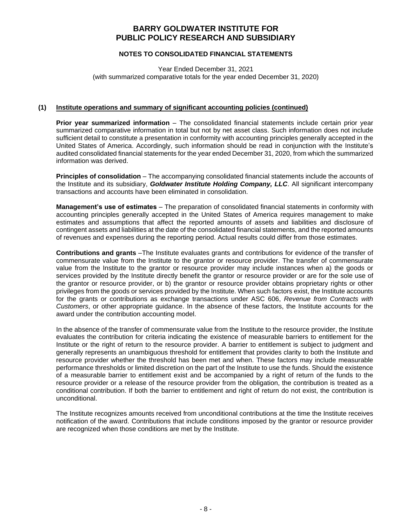### **NOTES TO CONSOLIDATED FINANCIAL STATEMENTS**

Year Ended December 31, 2021 (with summarized comparative totals for the year ended December 31, 2020)

#### **(1) Institute operations and summary of significant accounting policies (continued)**

**Prior year summarized information** – The consolidated financial statements include certain prior year summarized comparative information in total but not by net asset class. Such information does not include sufficient detail to constitute a presentation in conformity with accounting principles generally accepted in the United States of America. Accordingly, such information should be read in conjunction with the Institute's audited consolidated financial statements for the year ended December 31, 2020, from which the summarized information was derived.

**Principles of consolidation** – The accompanying consolidated financial statements include the accounts of the Institute and its subsidiary, *Goldwater Institute Holding Company, LLC*. All significant intercompany transactions and accounts have been eliminated in consolidation.

**Management's use of estimates** – The preparation of consolidated financial statements in conformity with accounting principles generally accepted in the United States of America requires management to make estimates and assumptions that affect the reported amounts of assets and liabilities and disclosure of contingent assets and liabilities at the date of the consolidated financial statements, and the reported amounts of revenues and expenses during the reporting period. Actual results could differ from those estimates.

**Contributions and grants** –The Institute evaluates grants and contributions for evidence of the transfer of commensurate value from the Institute to the grantor or resource provider. The transfer of commensurate value from the Institute to the grantor or resource provider may include instances when a) the goods or services provided by the Institute directly benefit the grantor or resource provider or are for the sole use of the grantor or resource provider, or b) the grantor or resource provider obtains proprietary rights or other privileges from the goods or services provided by the Institute. When such factors exist, the Institute accounts for the grants or contributions as exchange transactions under ASC 606, *Revenue from Contracts with Customers*, or other appropriate guidance. In the absence of these factors, the Institute accounts for the award under the contribution accounting model.

In the absence of the transfer of commensurate value from the Institute to the resource provider, the Institute evaluates the contribution for criteria indicating the existence of measurable barriers to entitlement for the Institute or the right of return to the resource provider. A barrier to entitlement is subject to judgment and generally represents an unambiguous threshold for entitlement that provides clarity to both the Institute and resource provider whether the threshold has been met and when. These factors may include measurable performance thresholds or limited discretion on the part of the Institute to use the funds. Should the existence of a measurable barrier to entitlement exist and be accompanied by a right of return of the funds to the resource provider or a release of the resource provider from the obligation, the contribution is treated as a conditional contribution. If both the barrier to entitlement and right of return do not exist, the contribution is unconditional.

The Institute recognizes amounts received from unconditional contributions at the time the Institute receives notification of the award. Contributions that include conditions imposed by the grantor or resource provider are recognized when those conditions are met by the Institute.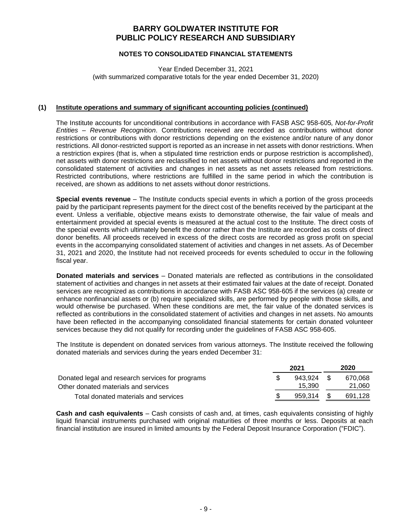### **NOTES TO CONSOLIDATED FINANCIAL STATEMENTS**

Year Ended December 31, 2021 (with summarized comparative totals for the year ended December 31, 2020)

#### **(1) Institute operations and summary of significant accounting policies (continued)**

The Institute accounts for unconditional contributions in accordance with FASB ASC 958-605*, Not-for-Profit Entities – Revenue Recognition*. Contributions received are recorded as contributions without donor restrictions or contributions with donor restrictions depending on the existence and/or nature of any donor restrictions. All donor-restricted support is reported as an increase in net assets with donor restrictions. When a restriction expires (that is, when a stipulated time restriction ends or purpose restriction is accomplished), net assets with donor restrictions are reclassified to net assets without donor restrictions and reported in the consolidated statement of activities and changes in net assets as net assets released from restrictions. Restricted contributions, where restrictions are fulfilled in the same period in which the contribution is received, are shown as additions to net assets without donor restrictions.

**Special events revenue** – The Institute conducts special events in which a portion of the gross proceeds paid by the participant represents payment for the direct cost of the benefits received by the participant at the event. Unless a verifiable, objective means exists to demonstrate otherwise, the fair value of meals and entertainment provided at special events is measured at the actual cost to the Institute. The direct costs of the special events which ultimately benefit the donor rather than the Institute are recorded as costs of direct donor benefits. All proceeds received in excess of the direct costs are recorded as gross profit on special events in the accompanying consolidated statement of activities and changes in net assets. As of December 31, 2021 and 2020, the Institute had not received proceeds for events scheduled to occur in the following fiscal year.

**Donated materials and services** – Donated materials are reflected as contributions in the consolidated statement of activities and changes in net assets at their estimated fair values at the date of receipt. Donated services are recognized as contributions in accordance with FASB ASC 958-605 if the services (a) create or enhance nonfinancial assets or (b) require specialized skills, are performed by people with those skills, and would otherwise be purchased. When these conditions are met, the fair value of the donated services is reflected as contributions in the consolidated statement of activities and changes in net assets. No amounts have been reflected in the accompanying consolidated financial statements for certain donated volunteer services because they did not qualify for recording under the guidelines of FASB ASC 958-605.

The Institute is dependent on donated services from various attorneys. The Institute received the following donated materials and services during the years ended December 31:

|                                                  | 2021       | 2020    |
|--------------------------------------------------|------------|---------|
| Donated legal and research services for programs | 943.924 \$ | 670.068 |
| Other donated materials and services             | 15.390     | 21,060  |
| Total donated materials and services             | 959.314    | 691.128 |

**Cash and cash equivalents** – Cash consists of cash and, at times, cash equivalents consisting of highly liquid financial instruments purchased with original maturities of three months or less. Deposits at each financial institution are insured in limited amounts by the Federal Deposit Insurance Corporation ("FDIC").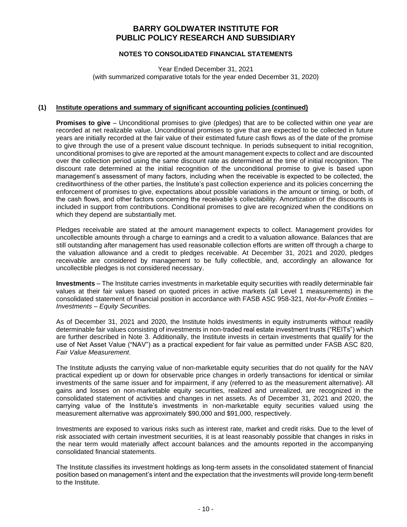### **NOTES TO CONSOLIDATED FINANCIAL STATEMENTS**

Year Ended December 31, 2021 (with summarized comparative totals for the year ended December 31, 2020)

#### **(1) Institute operations and summary of significant accounting policies (continued)**

**Promises to give** – Unconditional promises to give (pledges) that are to be collected within one year are recorded at net realizable value. Unconditional promises to give that are expected to be collected in future years are initially recorded at the fair value of their estimated future cash flows as of the date of the promise to give through the use of a present value discount technique. In periods subsequent to initial recognition, unconditional promises to give are reported at the amount management expects to collect and are discounted over the collection period using the same discount rate as determined at the time of initial recognition. The discount rate determined at the initial recognition of the unconditional promise to give is based upon management's assessment of many factors, including when the receivable is expected to be collected, the creditworthiness of the other parties, the Institute's past collection experience and its policies concerning the enforcement of promises to give, expectations about possible variations in the amount or timing, or both, of the cash flows, and other factors concerning the receivable's collectability. Amortization of the discounts is included in support from contributions. Conditional promises to give are recognized when the conditions on which they depend are substantially met.

Pledges receivable are stated at the amount management expects to collect. Management provides for uncollectible amounts through a charge to earnings and a credit to a valuation allowance. Balances that are still outstanding after management has used reasonable collection efforts are written off through a charge to the valuation allowance and a credit to pledges receivable. At December 31, 2021 and 2020, pledges receivable are considered by management to be fully collectible, and, accordingly an allowance for uncollectible pledges is not considered necessary.

**Investments** – The Institute carries investments in marketable equity securities with readily determinable fair values at their fair values based on quoted prices in active markets (all Level 1 measurements) in the consolidated statement of financial position in accordance with FASB ASC 958-321, *Not-for-Profit Entities – Investments – Equity Securities.*

As of December 31, 2021 and 2020, the Institute holds investments in equity instruments without readily determinable fair values consisting of investments in non-traded real estate investment trusts ("REITs") which are further described in Note 3. Additionally, the Institute invests in certain investments that qualify for the use of Net Asset Value ("NAV") as a practical expedient for fair value as permitted under FASB ASC 820, *Fair Value Measurement*.

The Institute adjusts the carrying value of non-marketable equity securities that do not qualify for the NAV practical expedient up or down for observable price changes in orderly transactions for identical or similar investments of the same issuer and for impairment, if any (referred to as the measurement alternative). All gains and losses on non-marketable equity securities, realized and unrealized, are recognized in the consolidated statement of activities and changes in net assets. As of December 31, 2021 and 2020, the carrying value of the Institute's investments in non-marketable equity securities valued using the measurement alternative was approximately \$90,000 and \$91,000, respectively.

Investments are exposed to various risks such as interest rate, market and credit risks. Due to the level of risk associated with certain investment securities, it is at least reasonably possible that changes in risks in the near term would materially affect account balances and the amounts reported in the accompanying consolidated financial statements.

The Institute classifies its investment holdings as long-term assets in the consolidated statement of financial position based on management's intent and the expectation that the investments will provide long-term benefit to the Institute.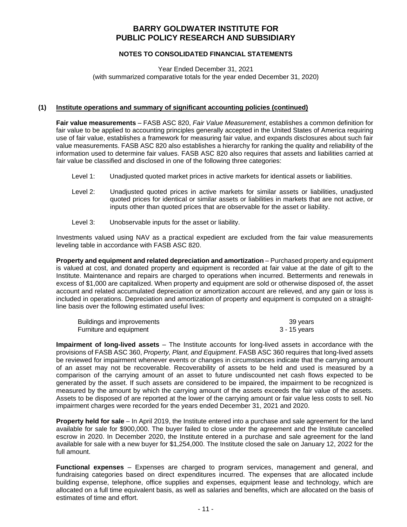### **NOTES TO CONSOLIDATED FINANCIAL STATEMENTS**

Year Ended December 31, 2021

(with summarized comparative totals for the year ended December 31, 2020)

### **(1) Institute operations and summary of significant accounting policies (continued)**

**Fair value measurements** – FASB ASC 820, *Fair Value Measurement*, establishes a common definition for fair value to be applied to accounting principles generally accepted in the United States of America requiring use of fair value, establishes a framework for measuring fair value, and expands disclosures about such fair value measurements. FASB ASC 820 also establishes a hierarchy for ranking the quality and reliability of the information used to determine fair values. FASB ASC 820 also requires that assets and liabilities carried at fair value be classified and disclosed in one of the following three categories:

- Level 1: Unadjusted quoted market prices in active markets for identical assets or liabilities.
- Level 2: Unadjusted quoted prices in active markets for similar assets or liabilities, unadjusted quoted prices for identical or similar assets or liabilities in markets that are not active, or inputs other than quoted prices that are observable for the asset or liability.
- Level 3: Unobservable inputs for the asset or liability.

Investments valued using NAV as a practical expedient are excluded from the fair value measurements leveling table in accordance with FASB ASC 820.

**Property and equipment and related depreciation and amortization** – Purchased property and equipment is valued at cost, and donated property and equipment is recorded at fair value at the date of gift to the Institute. Maintenance and repairs are charged to operations when incurred. Betterments and renewals in excess of \$1,000 are capitalized. When property and equipment are sold or otherwise disposed of, the asset account and related accumulated depreciation or amortization account are relieved, and any gain or loss is included in operations. Depreciation and amortization of property and equipment is computed on a straightline basis over the following estimated useful lives:

| Buildings and improvements | 39 vears     |
|----------------------------|--------------|
| Furniture and equipment    | 3 - 15 vears |

**Impairment of long-lived assets** – The Institute accounts for long-lived assets in accordance with the provisions of FASB ASC 360, *Property, Plant, and Equipment*. FASB ASC 360 requires that long-lived assets be reviewed for impairment whenever events or changes in circumstances indicate that the carrying amount of an asset may not be recoverable. Recoverability of assets to be held and used is measured by a comparison of the carrying amount of an asset to future undiscounted net cash flows expected to be generated by the asset. If such assets are considered to be impaired, the impairment to be recognized is measured by the amount by which the carrying amount of the assets exceeds the fair value of the assets. Assets to be disposed of are reported at the lower of the carrying amount or fair value less costs to sell. No impairment charges were recorded for the years ended December 31, 2021 and 2020.

**Property held for sale** – In April 2019, the Institute entered into a purchase and sale agreement for the land available for sale for \$900,000. The buyer failed to close under the agreement and the Institute cancelled escrow in 2020. In December 2020, the Institute entered in a purchase and sale agreement for the land available for sale with a new buyer for \$1,254,000. The Institute closed the sale on January 12, 2022 for the full amount.

**Functional expenses** – Expenses are charged to program services, management and general, and fundraising categories based on direct expenditures incurred. The expenses that are allocated include building expense, telephone, office supplies and expenses, equipment lease and technology, which are allocated on a full time equivalent basis, as well as salaries and benefits, which are allocated on the basis of estimates of time and effort.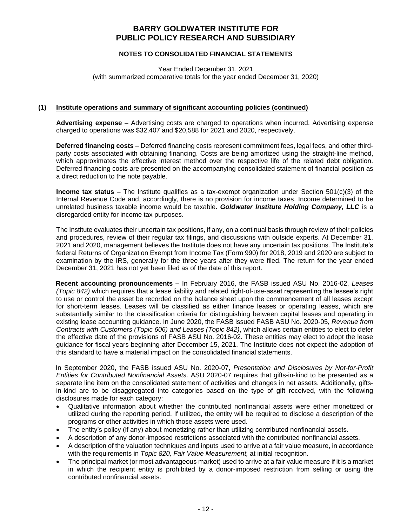### **NOTES TO CONSOLIDATED FINANCIAL STATEMENTS**

Year Ended December 31, 2021 (with summarized comparative totals for the year ended December 31, 2020)

#### **(1) Institute operations and summary of significant accounting policies (continued)**

**Advertising expense** – Advertising costs are charged to operations when incurred. Advertising expense charged to operations was \$32,407 and \$20,588 for 2021 and 2020, respectively.

**Deferred financing costs** – Deferred financing costs represent commitment fees, legal fees, and other thirdparty costs associated with obtaining financing. Costs are being amortized using the straight-line method, which approximates the effective interest method over the respective life of the related debt obligation. Deferred financing costs are presented on the accompanying consolidated statement of financial position as a direct reduction to the note payable.

**Income tax status** – The Institute qualifies as a tax-exempt organization under Section 501(c)(3) of the Internal Revenue Code and, accordingly, there is no provision for income taxes. Income determined to be unrelated business taxable income would be taxable. *Goldwater Institute Holding Company, LLC* is a disregarded entity for income tax purposes.

The Institute evaluates their uncertain tax positions, if any, on a continual basis through review of their policies and procedures, review of their regular tax filings, and discussions with outside experts. At December 31, 2021 and 2020, management believes the Institute does not have any uncertain tax positions. The Institute's federal Returns of Organization Exempt from Income Tax (Form 990) for 2018, 2019 and 2020 are subject to examination by the IRS, generally for the three years after they were filed. The return for the year ended December 31, 2021 has not yet been filed as of the date of this report.

**Recent accounting pronouncements –** In February 2016, the FASB issued ASU No. 2016-02, *Leases (Topic 842)* which requires that a lease liability and related right-of-use-asset representing the lessee's right to use or control the asset be recorded on the balance sheet upon the commencement of all leases except for short-term leases. Leases will be classified as either finance leases or operating leases, which are substantially similar to the classification criteria for distinguishing between capital leases and operating in existing lease accounting guidance. In June 2020, the FASB issued FASB ASU No. 2020-05*, Revenue from Contracts with Customers (Topic 606) and Leases (Topic 842)*, which allows certain entities to elect to defer the effective date of the provisions of FASB ASU No. 2016-02. These entities may elect to adopt the lease guidance for fiscal years beginning after December 15, 2021. The Institute does not expect the adoption of this standard to have a material impact on the consolidated financial statements.

In September 2020, the FASB issued ASU No. 2020-07, *Presentation and Disclosures by Not-for-Profit Entities for Contributed Nonfinancial Assets*. ASU 2020-07 requires that gifts-in-kind to be presented as a separate line item on the consolidated statement of activities and changes in net assets. Additionally, giftsin-kind are to be disaggregated into categories based on the type of gift received, with the following disclosures made for each category:

- Qualitative information about whether the contributed nonfinancial assets were either monetized or utilized during the reporting period. If utilized, the entity will be required to disclose a description of the programs or other activities in which those assets were used.
- The entity's policy (if any) about monetizing rather than utilizing contributed nonfinancial assets.
- A description of any donor-imposed restrictions associated with the contributed nonfinancial assets.
- A description of the valuation techniques and inputs used to arrive at a fair value measure, in accordance with the requirements in *Topic 820, [Fair Value Measurement,](https://asc.fasb.org/imageRoot/81/118196181.pdf)* at initial recognition.
- The principal market (or most advantageous market) used to arrive at a fair value measure if it is a market in which the recipient entity is prohibited by a donor-imposed restriction from selling or using the contributed nonfinancial assets.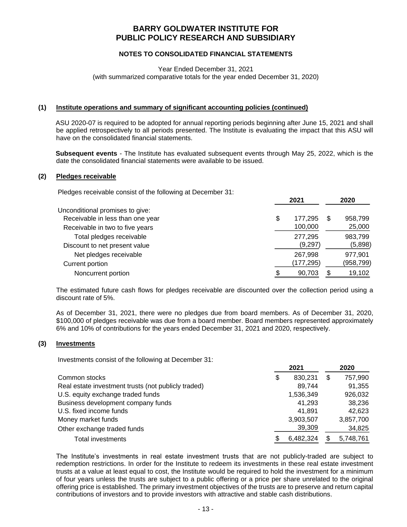### **NOTES TO CONSOLIDATED FINANCIAL STATEMENTS**

Year Ended December 31, 2021

(with summarized comparative totals for the year ended December 31, 2020)

### **(1) Institute operations and summary of significant accounting policies (continued)**

ASU 2020-07 is required to be adopted for annual reporting periods beginning after June 15, 2021 and shall be applied retrospectively to all periods presented. The Institute is evaluating the impact that this ASU will have on the consolidated financial statements.

**Subsequent events** - The Institute has evaluated subsequent events through May 25, 2022, which is the date the consolidated financial statements were available to be issued.

### **(2) Pledges receivable**

Pledges receivable consist of the following at December 31:

|                                  | 2021          | 2020          |
|----------------------------------|---------------|---------------|
| Unconditional promises to give:  |               |               |
| Receivable in less than one year | \$<br>177,295 | \$<br>958,799 |
| Receivable in two to five years  | 100,000       | 25,000        |
| Total pledges receivable         | 277,295       | 983,799       |
| Discount to net present value    | (9, 297)      | (5,898)       |
| Net pledges receivable           | 267,998       | 977,901       |
| Current portion                  | (177, 295)    | (958,799)     |
| Noncurrent portion               | \$<br>90,703  | 19,102        |

The estimated future cash flows for pledges receivable are discounted over the collection period using a discount rate of 5%.

As of December 31, 2021, there were no pledges due from board members. As of December 31, 2020, \$100,000 of pledges receivable was due from a board member. Board members represented approximately 6% and 10% of contributions for the years ended December 31, 2021 and 2020, respectively.

### **(3) Investments**

Investments consist of the following at December 31:

|                                                     | 2021          |   | 2020      |
|-----------------------------------------------------|---------------|---|-----------|
| Common stocks                                       | \$<br>830,231 | S | 757,990   |
| Real estate investment trusts (not publicly traded) | 89,744        |   | 91,355    |
| U.S. equity exchange traded funds                   | 1,536,349     |   | 926,032   |
| Business development company funds                  | 41,293        |   | 38,236    |
| U.S. fixed income funds                             | 41.891        |   | 42,623    |
| Money market funds                                  | 3,903,507     |   | 3,857,700 |
| Other exchange traded funds                         | 39,309        |   | 34,825    |
| <b>Total investments</b>                            | 6,482,324     |   | 5,748,761 |

The Institute's investments in real estate investment trusts that are not publicly-traded are subject to redemption restrictions. In order for the Institute to redeem its investments in these real estate investment trusts at a value at least equal to cost, the Institute would be required to hold the investment for a minimum of four years unless the trusts are subject to a public offering or a price per share unrelated to the original offering price is established. The primary investment objectives of the trusts are to preserve and return capital contributions of investors and to provide investors with attractive and stable cash distributions.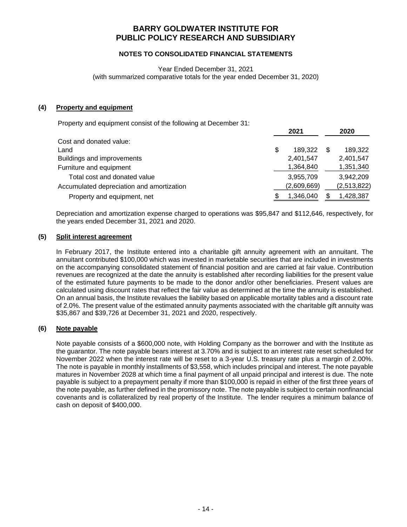### **NOTES TO CONSOLIDATED FINANCIAL STATEMENTS**

Year Ended December 31, 2021

(with summarized comparative totals for the year ended December 31, 2020)

#### **(4) Property and equipment**

Property and equipment consist of the following at December 31:

|                                           | 2021          | 2020        |
|-------------------------------------------|---------------|-------------|
| Cost and donated value:                   |               |             |
| Land                                      | \$<br>189.322 | 189,322     |
| <b>Buildings and improvements</b>         | 2,401,547     | 2,401,547   |
| Furniture and equipment                   | 1,364,840     | 1,351,340   |
| Total cost and donated value              | 3,955,709     | 3,942,209   |
| Accumulated depreciation and amortization | (2,609,669)   | (2,513,822) |
| Property and equipment, net               | 1,346,040     | 1,428,387   |

Depreciation and amortization expense charged to operations was \$95,847 and \$112,646, respectively, for the years ended December 31, 2021 and 2020.

#### **(5) Split interest agreement**

In February 2017, the Institute entered into a charitable gift annuity agreement with an annuitant. The annuitant contributed \$100,000 which was invested in marketable securities that are included in investments on the accompanying consolidated statement of financial position and are carried at fair value. Contribution revenues are recognized at the date the annuity is established after recording liabilities for the present value of the estimated future payments to be made to the donor and/or other beneficiaries. Present values are calculated using discount rates that reflect the fair value as determined at the time the annuity is established. On an annual basis, the Institute revalues the liability based on applicable mortality tables and a discount rate of 2.0%. The present value of the estimated annuity payments associated with the charitable gift annuity was \$35,867 and \$39,726 at December 31, 2021 and 2020, respectively.

#### **(6) Note payable**

Note payable consists of a \$600,000 note, with Holding Company as the borrower and with the Institute as the guarantor. The note payable bears interest at 3.70% and is subject to an interest rate reset scheduled for November 2022 when the interest rate will be reset to a 3-year U.S. treasury rate plus a margin of 2.00%. The note is payable in monthly installments of \$3,558, which includes principal and interest. The note payable matures in November 2028 at which time a final payment of all unpaid principal and interest is due. The note payable is subject to a prepayment penalty if more than \$100,000 is repaid in either of the first three years of the note payable, as further defined in the promissory note. The note payable is subject to certain nonfinancial covenants and is collateralized by real property of the Institute. The lender requires a minimum balance of cash on deposit of \$400,000.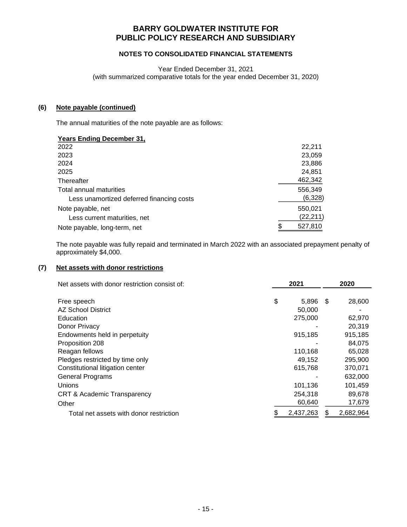### **NOTES TO CONSOLIDATED FINANCIAL STATEMENTS**

Year Ended December 31, 2021

(with summarized comparative totals for the year ended December 31, 2020)

### **(6) Note payable (continued)**

The annual maturities of the note payable are as follows:

| <b>Years Ending December 31,</b>          |               |
|-------------------------------------------|---------------|
| 2022                                      | 22,211        |
| 2023                                      | 23,059        |
| 2024                                      | 23,886        |
| 2025                                      | 24.851        |
| Thereafter                                | 462,342       |
| Total annual maturities                   | 556,349       |
| Less unamortized deferred financing costs | (6,328)       |
| Note payable, net                         | 550,021       |
| Less current maturities, net              | (22, 211)     |
| Note payable, long-term, net              | \$<br>527,810 |

The note payable was fully repaid and terminated in March 2022 with an associated prepayment penalty of approximately \$4,000.

# **(7) Net assets with donor restrictions**

| Net assets with donor restriction consist of: | 2021 |           |      | 2020      |  |
|-----------------------------------------------|------|-----------|------|-----------|--|
|                                               |      |           |      |           |  |
| Free speech                                   | \$   | 5,896     | - \$ | 28,600    |  |
| <b>AZ School District</b>                     |      | 50,000    |      |           |  |
| Education                                     |      | 275,000   |      | 62,970    |  |
| Donor Privacy                                 |      |           |      | 20,319    |  |
| Endowments held in perpetuity                 |      | 915,185   |      | 915,185   |  |
| Proposition 208                               |      |           |      | 84,075    |  |
| Reagan fellows                                |      | 110.168   |      | 65,028    |  |
| Pledges restricted by time only               |      | 49,152    |      | 295,900   |  |
| Constitutional litigation center              |      | 615,768   |      | 370,071   |  |
| <b>General Programs</b>                       |      |           |      | 632,000   |  |
| Unions                                        |      | 101,136   |      | 101,459   |  |
| <b>CRT &amp; Academic Transparency</b>        |      | 254.318   |      | 89,678    |  |
| Other                                         |      | 60,640    |      | 17,679    |  |
| Total net assets with donor restriction       |      | 2,437,263 | S    | 2,682,964 |  |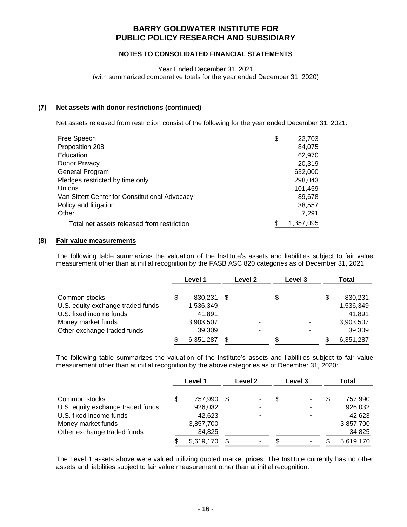### **NOTES TO CONSOLIDATED FINANCIAL STATEMENTS**

Year Ended December 31, 2021

(with summarized comparative totals for the year ended December 31, 2020)

### **(7) Net assets with donor restrictions (continued)**

Net assets released from restriction consist of the following for the year ended December 31, 2021:

| Free Speech                                    | \$<br>22,703 |
|------------------------------------------------|--------------|
| Proposition 208                                | 84,075       |
| Education                                      | 62,970       |
| Donor Privacy                                  | 20,319       |
| General Program                                | 632,000      |
| Pledges restricted by time only                | 298,043      |
| Unions                                         | 101,459      |
| Van Sittert Center for Constitutional Advocacy | 89,678       |
| Policy and litigation                          | 38,557       |
| Other                                          | 7,291        |
| Total net assets released from restriction     | 1,357,095    |

#### **(8) Fair value measurements**

The following table summarizes the valuation of the Institute's assets and liabilities subject to fair value measurement other than at initial recognition by the FASB ASC 820 categories as of December 31, 2021:

|                                   | Level 1 |           | Level 2 |   | Level 3 |  | Total |           |
|-----------------------------------|---------|-----------|---------|---|---------|--|-------|-----------|
|                                   |         |           |         |   |         |  |       |           |
| Common stocks                     | \$      | 830,231   | \$      |   | \$      |  | S     | 830,231   |
| U.S. equity exchange traded funds |         | 1,536,349 |         |   |         |  |       | 1,536,349 |
| U.S. fixed income funds           |         | 41,891    |         |   |         |  |       | 41,891    |
| Money market funds                |         | 3,903,507 |         | - |         |  |       | 3,903,507 |
| Other exchange traded funds       |         | 39,309    |         | ۰ |         |  |       | 39,309    |
|                                   |         | 6,351,287 | \$      |   |         |  |       | 6,351,287 |

The following table summarizes the valuation of the Institute's assets and liabilities subject to fair value measurement other than at initial recognition by the above categories as of December 31, 2020:

|                                   | Level 1       |      | Level 2 |   | Level 3 |     | Total     |  |
|-----------------------------------|---------------|------|---------|---|---------|-----|-----------|--|
| Common stocks                     | \$<br>757,990 | - \$ | ۰       | S | ٠       | \$. | 757,990   |  |
| U.S. equity exchange traded funds | 926,032       |      |         |   |         |     | 926,032   |  |
| U.S. fixed income funds           | 42,623        |      | ۰       |   |         |     | 42,623    |  |
| Money market funds                | 3,857,700     |      | ۰       |   |         |     | 3,857,700 |  |
| Other exchange traded funds       | 34,825        |      | ۰       |   |         |     | 34,825    |  |
|                                   | 5,619,170     |      | ۰       |   | ۰       |     | 5,619,170 |  |

The Level 1 assets above were valued utilizing quoted market prices. The Institute currently has no other assets and liabilities subject to fair value measurement other than at initial recognition.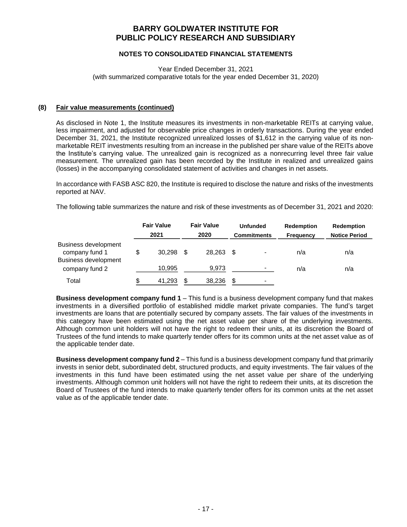### **NOTES TO CONSOLIDATED FINANCIAL STATEMENTS**

Year Ended December 31, 2021

(with summarized comparative totals for the year ended December 31, 2020)

#### **(8) Fair value measurements (continued)**

As disclosed in Note 1, the Institute measures its investments in non-marketable REITs at carrying value, less impairment, and adjusted for observable price changes in orderly transactions. During the year ended December 31, 2021, the Institute recognized unrealized losses of \$1,612 in the carrying value of its nonmarketable REIT investments resulting from an increase in the published per share value of the REITs above the Institute's carrying value. The unrealized gain is recognized as a nonrecurring level three fair value measurement. The unrealized gain has been recorded by the Institute in realized and unrealized gains (losses) in the accompanying consolidated statement of activities and changes in net assets.

In accordance with FASB ASC 820, the Institute is required to disclose the nature and risks of the investments reported at NAV.

The following table summarizes the nature and risk of these investments as of December 31, 2021 and 2020:

|                                               | <b>Fair Value</b><br>2021 |     | <b>Fair Value</b><br>2020 |      | <b>Unfunded</b><br><b>Commitments</b> | <b>Redemption</b><br>Frequency | <b>Redemption</b><br><b>Notice Period</b> |
|-----------------------------------------------|---------------------------|-----|---------------------------|------|---------------------------------------|--------------------------------|-------------------------------------------|
| Business development<br>company fund 1        | 30.298                    | -\$ | 28.263                    | - \$ | $\blacksquare$                        | n/a                            | n/a                                       |
| <b>Business development</b><br>company fund 2 | 10,995                    |     | 9,973                     |      |                                       | n/a                            | n/a                                       |
| Total                                         | 41,293                    |     | 38,236                    | S.   | $\,$                                  |                                |                                           |

**Business development company fund 1** – This fund is a business development company fund that makes investments in a diversified portfolio of established middle market private companies. The fund's target investments are loans that are potentially secured by company assets. The fair values of the investments in this category have been estimated using the net asset value per share of the underlying investments. Although common unit holders will not have the right to redeem their units, at its discretion the Board of Trustees of the fund intends to make quarterly tender offers for its common units at the net asset value as of the applicable tender date.

**Business development company fund 2** – This fund is a business development company fund that primarily invests in senior debt, subordinated debt, structured products, and equity investments. The fair values of the investments in this fund have been estimated using the net asset value per share of the underlying investments. Although common unit holders will not have the right to redeem their units, at its discretion the Board of Trustees of the fund intends to make quarterly tender offers for its common units at the net asset value as of the applicable tender date.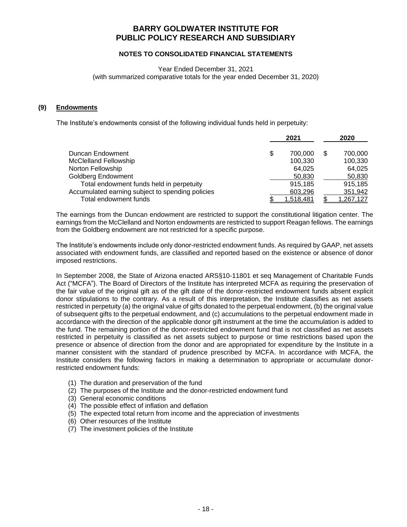### **NOTES TO CONSOLIDATED FINANCIAL STATEMENTS**

Year Ended December 31, 2021

(with summarized comparative totals for the year ended December 31, 2020)

#### **(9) Endowments**

The Institute's endowments consist of the following individual funds held in perpetuity:

|                                                  | 2021          | 2020          |
|--------------------------------------------------|---------------|---------------|
| Duncan Endowment                                 | \$<br>700.000 | \$<br>700,000 |
| <b>McClelland Fellowship</b>                     | 100,330       | 100,330       |
| Norton Fellowship                                | 64,025        | 64,025        |
| <b>Goldberg Endowment</b>                        | 50,830        | 50,830        |
| Total endowment funds held in perpetuity         | 915,185       | 915,185       |
| Accumulated earning subject to spending policies | 603,296       | 351,942       |
| Total endowment funds                            | 1.518.481     | ,267,127      |

The earnings from the Duncan endowment are restricted to support the constitutional litigation center. The earnings from the McClelland and Norton endowments are restricted to support Reagan fellows. The earnings from the Goldberg endowment are not restricted for a specific purpose.

The Institute's endowments include only donor-restricted endowment funds. As required by GAAP, net assets associated with endowment funds, are classified and reported based on the existence or absence of donor imposed restrictions.

In September 2008, the State of Arizona enacted ARS§10-11801 et seq Management of Charitable Funds Act ("MCFA"). The Board of Directors of the Institute has interpreted MCFA as requiring the preservation of the fair value of the original gift as of the gift date of the donor-restricted endowment funds absent explicit donor stipulations to the contrary. As a result of this interpretation, the Institute classifies as net assets restricted in perpetuity (a) the original value of gifts donated to the perpetual endowment, (b) the original value of subsequent gifts to the perpetual endowment, and (c) accumulations to the perpetual endowment made in accordance with the direction of the applicable donor gift instrument at the time the accumulation is added to the fund. The remaining portion of the donor-restricted endowment fund that is not classified as net assets restricted in perpetuity is classified as net assets subject to purpose or time restrictions based upon the presence or absence of direction from the donor and are appropriated for expenditure by the Institute in a manner consistent with the standard of prudence prescribed by MCFA. In accordance with MCFA, the Institute considers the following factors in making a determination to appropriate or accumulate donorrestricted endowment funds:

- (1) The duration and preservation of the fund
- (2) The purposes of the Institute and the donor-restricted endowment fund
- (3) General economic conditions
- (4) The possible effect of inflation and deflation
- (5) The expected total return from income and the appreciation of investments
- (6) Other resources of the Institute
- (7) The investment policies of the Institute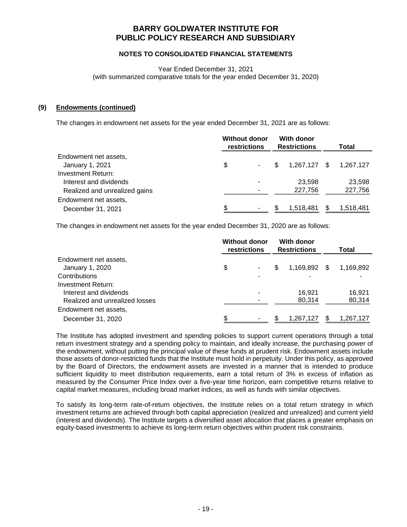### **NOTES TO CONSOLIDATED FINANCIAL STATEMENTS**

Year Ended December 31, 2021

(with summarized comparative totals for the year ended December 31, 2020)

### **(9) Endowments (continued)**

The changes in endowment net assets for the year ended December 31, 2021 are as follows:

|                               | <b>Without donor</b><br>restrictions |  |  | <b>With donor</b><br><b>Restrictions</b> | Total |           |  |
|-------------------------------|--------------------------------------|--|--|------------------------------------------|-------|-----------|--|
| Endowment net assets,         |                                      |  |  |                                          |       |           |  |
| January 1, 2021               | \$                                   |  |  | 1,267,127 \$                             |       | 1,267,127 |  |
| Investment Return:            |                                      |  |  |                                          |       |           |  |
| Interest and dividends        |                                      |  |  | 23.598                                   |       | 23.598    |  |
| Realized and unrealized gains |                                      |  |  | 227,756                                  |       | 227,756   |  |
| Endowment net assets,         |                                      |  |  |                                          |       |           |  |
| December 31, 2021             | \$                                   |  |  | 1,518,481                                |       | 1,518,481 |  |

The changes in endowment net assets for the year ended December 31, 2020 are as follows:

|                                | <b>Without donor</b><br>restrictions |  |     | <b>With donor</b><br><b>Restrictions</b> | Total |           |  |
|--------------------------------|--------------------------------------|--|-----|------------------------------------------|-------|-----------|--|
| Endowment net assets,          |                                      |  |     |                                          |       |           |  |
| January 1, 2020                | \$                                   |  | S   | 1,169,892                                | \$.   | 1,169,892 |  |
| Contributions                  |                                      |  |     |                                          |       |           |  |
| Investment Return:             |                                      |  |     |                                          |       |           |  |
| Interest and dividends         |                                      |  |     | 16.921                                   |       | 16,921    |  |
| Realized and unrealized losses |                                      |  |     | 80,314                                   |       | 80,314    |  |
| Endowment net assets,          |                                      |  |     |                                          |       |           |  |
| December 31, 2020              | \$.                                  |  | \$. | 1,267,127                                | \$.   | 1,267,127 |  |

The Institute has adopted investment and spending policies to support current operations through a total return investment strategy and a spending policy to maintain, and ideally increase, the purchasing power of the endowment, without putting the principal value of these funds at prudent risk. Endowment assets include those assets of donor-restricted funds that the Institute must hold in perpetuity. Under this policy, as approved by the Board of Directors, the endowment assets are invested in a manner that is intended to produce sufficient liquidity to meet distribution requirements, earn a total return of 3% in excess of inflation as measured by the Consumer Price Index over a five-year time horizon, earn competitive returns relative to capital market measures, including broad market indices, as well as funds with similar objectives.

To satisfy its long-term rate-of-return objectives, the Institute relies on a total return strategy in which investment returns are achieved through both capital appreciation (realized and unrealized) and current yield (interest and dividends). The Institute targets a diversified asset allocation that places a greater emphasis on equity-based investments to achieve its long-term return objectives within prudent risk constraints.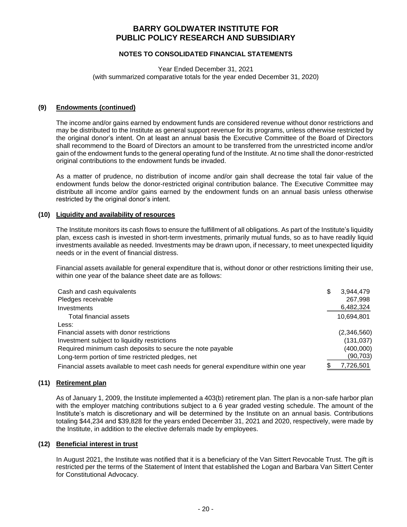### **NOTES TO CONSOLIDATED FINANCIAL STATEMENTS**

Year Ended December 31, 2021 (with summarized comparative totals for the year ended December 31, 2020)

#### **(9) Endowments (continued)**

The income and/or gains earned by endowment funds are considered revenue without donor restrictions and may be distributed to the Institute as general support revenue for its programs, unless otherwise restricted by the original donor's intent. On at least an annual basis the Executive Committee of the Board of Directors shall recommend to the Board of Directors an amount to be transferred from the unrestricted income and/or gain of the endowment funds to the general operating fund of the Institute. At no time shall the donor-restricted original contributions to the endowment funds be invaded.

As a matter of prudence, no distribution of income and/or gain shall decrease the total fair value of the endowment funds below the donor-restricted original contribution balance. The Executive Committee may distribute all income and/or gains earned by the endowment funds on an annual basis unless otherwise restricted by the original donor's intent.

#### **(10) Liquidity and availability of resources**

The Institute monitors its cash flows to ensure the fulfillment of all obligations. As part of the Institute's liquidity plan, excess cash is invested in short-term investments, primarily mutual funds, so as to have readily liquid investments available as needed. Investments may be drawn upon, if necessary, to meet unexpected liquidity needs or in the event of financial distress.

Financial assets available for general expenditure that is, without donor or other restrictions limiting their use, within one year of the balance sheet date are as follows:

| Cash and cash equivalents                                                             | S | 3,944,479   |
|---------------------------------------------------------------------------------------|---|-------------|
| Pledges receivable                                                                    |   | 267.998     |
| Investments                                                                           |   | 6,482,324   |
| Total financial assets                                                                |   | 10,694,801  |
| Less:                                                                                 |   |             |
| Financial assets with donor restrictions                                              |   | (2,346,560) |
| Investment subject to liquidity restrictions                                          |   | (131, 037)  |
| Required minimum cash deposits to secure the note payable                             |   | (400,000)   |
| Long-term portion of time restricted pledges, net                                     |   | (90, 703)   |
| Financial assets available to meet cash needs for general expenditure within one year |   | 7,726,501   |

#### **(11) Retirement plan**

As of January 1, 2009, the Institute implemented a 403(b) retirement plan. The plan is a non-safe harbor plan with the employer matching contributions subject to a 6 year graded vesting schedule. The amount of the Institute's match is discretionary and will be determined by the Institute on an annual basis. Contributions totaling \$44,234 and \$39,828 for the years ended December 31, 2021 and 2020, respectively, were made by the Institute, in addition to the elective deferrals made by employees.

#### **(12) Beneficial interest in trust**

In August 2021, the Institute was notified that it is a beneficiary of the Van Sittert Revocable Trust. The gift is restricted per the terms of the Statement of Intent that established the Logan and Barbara Van Sittert Center for Constitutional Advocacy.